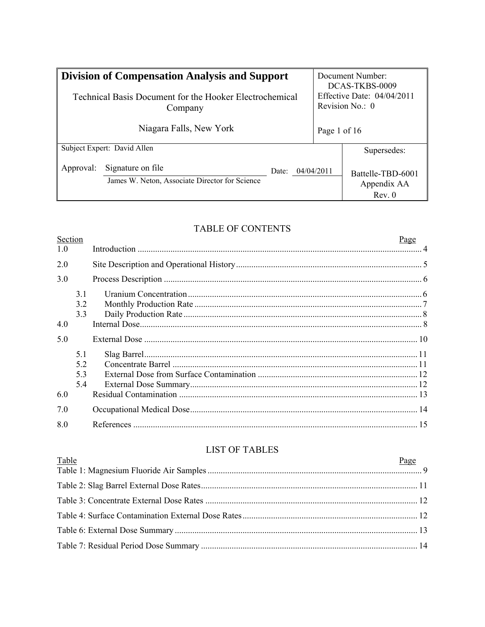| <b>Division of Compensation Analysis and Support</b><br>Technical Basis Document for the Hooker Electrochemical<br>Company<br>Niagara Falls, New York |       |              | Document Number:<br>DCAS-TKBS-0009<br>Effective Date: $04/04/2011$<br>Revision $No \cdot 0$ |  |
|-------------------------------------------------------------------------------------------------------------------------------------------------------|-------|--------------|---------------------------------------------------------------------------------------------|--|
|                                                                                                                                                       |       | Page 1 of 16 |                                                                                             |  |
| Subject Expert: David Allen                                                                                                                           |       |              | Supersedes:                                                                                 |  |
| Signature on file<br>Approval:<br>James W. Neton, Associate Director for Science                                                                      | Date: | 04/04/2011   | Battelle-TBD-6001<br>Appendix AA<br>Rev. 0                                                  |  |

# TABLE OF CONTENTS

| Section |                          | Page |
|---------|--------------------------|------|
| 1.0     |                          |      |
| 2.0     |                          |      |
| 3.0     |                          |      |
|         | 3.1<br>3.2<br>3.3        |      |
| 4.0     |                          |      |
| 5.0     |                          |      |
|         | 5.1<br>5.2<br>5.3<br>5.4 |      |
| 6.0     |                          |      |
| 7.0     |                          |      |
| 8.0     |                          |      |

# **LIST OF TABLES**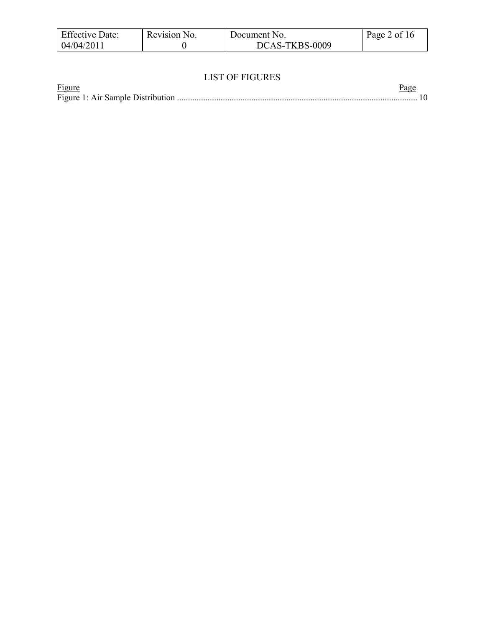| <b>Effective Date:</b> | Revision No. | Document No.   | Page 2 of $16$ |
|------------------------|--------------|----------------|----------------|
| 04/04/2011             |              | DCAS-TKBS-0009 |                |

# LIST OF FIGURES

| Figure | <u>Page</u> |  |
|--------|-------------|--|
|        |             |  |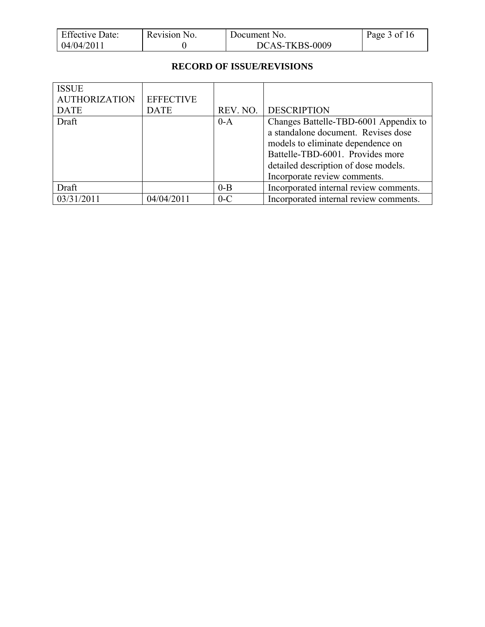| <b>Effective Date:</b> | Revision No. | Document No.   | Page 3 of 16 |
|------------------------|--------------|----------------|--------------|
| 04/04/2011             |              | DCAS-TKBS-0009 |              |

# **RECORD OF ISSUE/REVISIONS**

| <b>ISSUE</b>         |                  |          |                                        |
|----------------------|------------------|----------|----------------------------------------|
| <b>AUTHORIZATION</b> | <b>EFFECTIVE</b> |          |                                        |
| <b>DATE</b>          | <b>DATE</b>      | REV. NO. | <b>DESCRIPTION</b>                     |
| Draft                |                  | $0-A$    | Changes Battelle-TBD-6001 Appendix to  |
|                      |                  |          | a standalone document. Revises dose    |
|                      |                  |          | models to eliminate dependence on      |
|                      |                  |          | Battelle-TBD-6001. Provides more       |
|                      |                  |          | detailed description of dose models.   |
|                      |                  |          | Incorporate review comments.           |
| Draft                |                  | $0 - B$  | Incorporated internal review comments. |
| 03/31/2011           | 04/04/2011       | $0-C$    | Incorporated internal review comments. |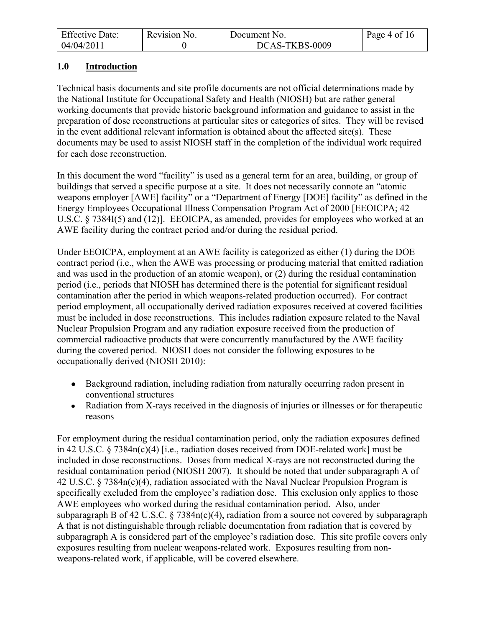| <b>Effective Date:</b> | Revision No. | Document No.   | Page 4 of 16 |
|------------------------|--------------|----------------|--------------|
| 04/04/2011             |              | DCAS-TKBS-0009 |              |

# **1.0 Introduction**

Technical basis documents and site profile documents are not official determinations made by the National Institute for Occupational Safety and Health (NIOSH) but are rather general working documents that provide historic background information and guidance to assist in the preparation of dose reconstructions at particular sites or categories of sites. They will be revised in the event additional relevant information is obtained about the affected site(s). These documents may be used to assist NIOSH staff in the completion of the individual work required for each dose reconstruction.

In this document the word "facility" is used as a general term for an area, building, or group of buildings that served a specific purpose at a site. It does not necessarily connote an "atomic weapons employer [AWE] facility" or a "Department of Energy [DOE] facility" as defined in the Energy Employees Occupational Illness Compensation Program Act of 2000 [EEOICPA; 42 U.S.C. § 7384I(5) and (12)]. EEOICPA, as amended, provides for employees who worked at an AWE facility during the contract period and/or during the residual period.

Under EEOICPA, employment at an AWE facility is categorized as either (1) during the DOE contract period (i.e., when the AWE was processing or producing material that emitted radiation and was used in the production of an atomic weapon), or (2) during the residual contamination period (i.e., periods that NIOSH has determined there is the potential for significant residual contamination after the period in which weapons-related production occurred). For contract period employment, all occupationally derived radiation exposures received at covered facilities must be included in dose reconstructions. This includes radiation exposure related to the Naval Nuclear Propulsion Program and any radiation exposure received from the production of commercial radioactive products that were concurrently manufactured by the AWE facility during the covered period. NIOSH does not consider the following exposures to be occupationally derived (NIOSH 2010):

- Background radiation, including radiation from naturally occurring radon present in conventional structures
- Radiation from X-rays received in the diagnosis of injuries or illnesses or for therapeutic reasons

For employment during the residual contamination period, only the radiation exposures defined in 42 U.S.C. § 7384n(c)(4) [i.e., radiation doses received from DOE-related work] must be included in dose reconstructions. Doses from medical X-rays are not reconstructed during the residual contamination period (NIOSH 2007). It should be noted that under subparagraph A of 42 U.S.C. § 7384n(c)(4), radiation associated with the Naval Nuclear Propulsion Program is specifically excluded from the employee's radiation dose. This exclusion only applies to those AWE employees who worked during the residual contamination period. Also, under subparagraph B of 42 U.S.C. § 7384n(c)(4), radiation from a source not covered by subparagraph A that is not distinguishable through reliable documentation from radiation that is covered by subparagraph A is considered part of the employee's radiation dose. This site profile covers only exposures resulting from nuclear weapons-related work. Exposures resulting from nonweapons-related work, if applicable, will be covered elsewhere.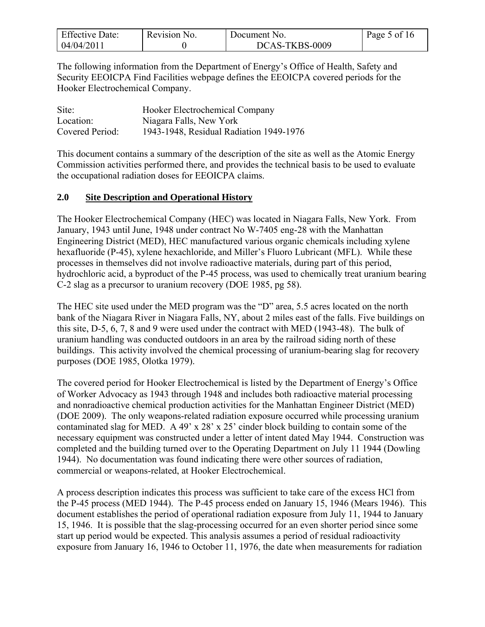| <b>Effective Date:</b> | Revision No. | Document No.   | Page 5 of 16 |
|------------------------|--------------|----------------|--------------|
| 04/04/2011             |              | DCAS-TKBS-0009 |              |

The following information from the Department of Energy's Office of Health, Safety and Security EEOICPA Find Facilities webpage defines the EEOICPA covered periods for the Hooker Electrochemical Company.

| Site:           | Hooker Electrochemical Company          |
|-----------------|-----------------------------------------|
| Location:       | Niagara Falls, New York                 |
| Covered Period: | 1943-1948, Residual Radiation 1949-1976 |

This document contains a summary of the description of the site as well as the Atomic Energy Commission activities performed there, and provides the technical basis to be used to evaluate the occupational radiation doses for EEOICPA claims.

# **2.0 Site Description and Operational History**

The Hooker Electrochemical Company (HEC) was located in Niagara Falls, New York. From January, 1943 until June, 1948 under contract No W-7405 eng-28 with the Manhattan Engineering District (MED), HEC manufactured various organic chemicals including xylene hexafluoride (P-45), xylene hexachloride, and Miller's Fluoro Lubricant (MFL). While these processes in themselves did not involve radioactive materials, during part of this period, hydrochloric acid, a byproduct of the P-45 process, was used to chemically treat uranium bearing C-2 slag as a precursor to uranium recovery (DOE 1985, pg 58).

The HEC site used under the MED program was the "D" area, 5.5 acres located on the north bank of the Niagara River in Niagara Falls, NY, about 2 miles east of the falls. Five buildings on this site, D-5, 6, 7, 8 and 9 were used under the contract with MED (1943-48). The bulk of uranium handling was conducted outdoors in an area by the railroad siding north of these buildings. This activity involved the chemical processing of uranium-bearing slag for recovery purposes (DOE 1985, Olotka 1979).

The covered period for Hooker Electrochemical is listed by the Department of Energy's Office of Worker Advocacy as 1943 through 1948 and includes both radioactive material processing and nonradioactive chemical production activities for the Manhattan Engineer District (MED) (DOE 2009). The only weapons-related radiation exposure occurred while processing uranium contaminated slag for MED. A 49' x 28' x 25' cinder block building to contain some of the necessary equipment was constructed under a letter of intent dated May 1944. Construction was completed and the building turned over to the Operating Department on July 11 1944 (Dowling 1944). No documentation was found indicating there were other sources of radiation, commercial or weapons-related, at Hooker Electrochemical.

A process description indicates this process was sufficient to take care of the excess HCl from the P-45 process (MED 1944). The P-45 process ended on January 15, 1946 (Mears 1946). This document establishes the period of operational radiation exposure from July 11, 1944 to January 15, 1946. It is possible that the slag-processing occurred for an even shorter period since some start up period would be expected. This analysis assumes a period of residual radioactivity exposure from January 16, 1946 to October 11, 1976, the date when measurements for radiation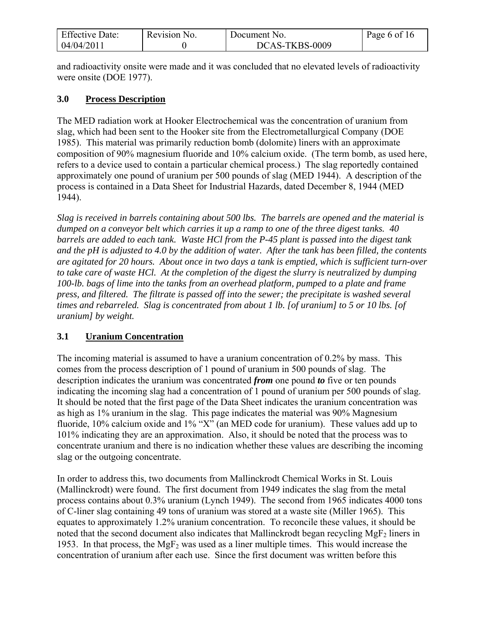| <b>Effective Date:</b> | Revision No. | Document No.   | Page 6 of 16 |
|------------------------|--------------|----------------|--------------|
| 04/04/2011             |              | DCAS-TKBS-0009 |              |

and radioactivity onsite were made and it was concluded that no elevated levels of radioactivity were onsite (DOE 1977).

# **3.0 Process Description**

The MED radiation work at Hooker Electrochemical was the concentration of uranium from slag, which had been sent to the Hooker site from the Electrometallurgical Company (DOE 1985). This material was primarily reduction bomb (dolomite) liners with an approximate composition of 90% magnesium fluoride and 10% calcium oxide. (The term bomb, as used here, refers to a device used to contain a particular chemical process.) The slag reportedly contained approximately one pound of uranium per 500 pounds of slag (MED 1944). A description of the process is contained in a Data Sheet for Industrial Hazards, dated December 8, 1944 (MED 1944).

*Slag is received in barrels containing about 500 lbs. The barrels are opened and the material is dumped on a conveyor belt which carries it up a ramp to one of the three digest tanks. 40 barrels are added to each tank. Waste HCl from the P-45 plant is passed into the digest tank and the pH is adjusted to 4.0 by the addition of water. After the tank has been filled, the contents are agitated for 20 hours. About once in two days a tank is emptied, which is sufficient turn-over to take care of waste HCl. At the completion of the digest the slurry is neutralized by dumping 100-lb. bags of lime into the tanks from an overhead platform, pumped to a plate and frame press, and filtered. The filtrate is passed off into the sewer; the precipitate is washed several times and rebarreled. Slag is concentrated from about 1 lb. [of uranium] to 5 or 10 lbs. [of uranium] by weight.*

# **3.1 Uranium Concentration**

The incoming material is assumed to have a uranium concentration of 0.2% by mass. This comes from the process description of 1 pound of uranium in 500 pounds of slag. The description indicates the uranium was concentrated *from* one pound *to* five or ten pounds indicating the incoming slag had a concentration of 1 pound of uranium per 500 pounds of slag. It should be noted that the first page of the Data Sheet indicates the uranium concentration was as high as 1% uranium in the slag. This page indicates the material was 90% Magnesium fluoride, 10% calcium oxide and 1% "X" (an MED code for uranium). These values add up to 101% indicating they are an approximation. Also, it should be noted that the process was to concentrate uranium and there is no indication whether these values are describing the incoming slag or the outgoing concentrate.

In order to address this, two documents from Mallinckrodt Chemical Works in St. Louis (Mallinckrodt) were found. The first document from 1949 indicates the slag from the metal process contains about 0.3% uranium (Lynch 1949). The second from 1965 indicates 4000 tons of C-liner slag containing 49 tons of uranium was stored at a waste site (Miller 1965). This equates to approximately 1.2% uranium concentration. To reconcile these values, it should be noted that the second document also indicates that Mallinckrodt began recycling MgF<sub>2</sub> liners in 1953. In that process, the  $MgF_2$  was used as a liner multiple times. This would increase the concentration of uranium after each use. Since the first document was written before this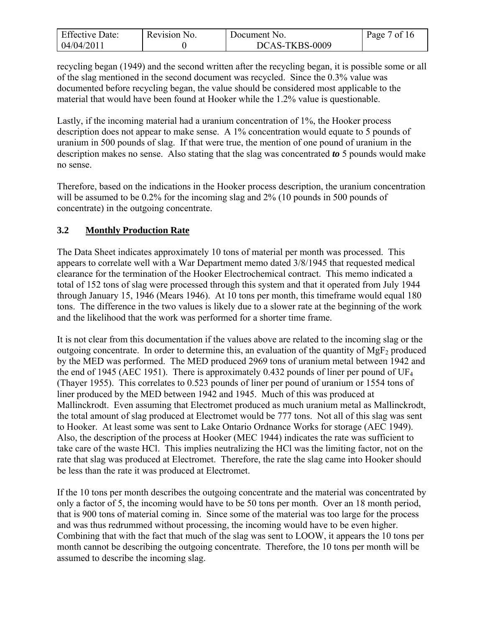| <b>Effective Date:</b> | Revision No. | Document No.   | Page 7 of 16 |
|------------------------|--------------|----------------|--------------|
| 04/04/2011             |              | DCAS-TKBS-0009 |              |

recycling began (1949) and the second written after the recycling began, it is possible some or all of the slag mentioned in the second document was recycled. Since the 0.3% value was documented before recycling began, the value should be considered most applicable to the material that would have been found at Hooker while the 1.2% value is questionable.

Lastly, if the incoming material had a uranium concentration of 1%, the Hooker process description does not appear to make sense. A 1% concentration would equate to 5 pounds of uranium in 500 pounds of slag. If that were true, the mention of one pound of uranium in the description makes no sense. Also stating that the slag was concentrated *to* 5 pounds would make no sense.

Therefore, based on the indications in the Hooker process description, the uranium concentration will be assumed to be 0.2% for the incoming slag and 2% (10 pounds in 500 pounds of concentrate) in the outgoing concentrate.

# **3.2 Monthly Production Rate**

The Data Sheet indicates approximately 10 tons of material per month was processed. This appears to correlate well with a War Department memo dated 3/8/1945 that requested medical clearance for the termination of the Hooker Electrochemical contract. This memo indicated a total of 152 tons of slag were processed through this system and that it operated from July 1944 through January 15, 1946 (Mears 1946). At 10 tons per month, this timeframe would equal 180 tons. The difference in the two values is likely due to a slower rate at the beginning of the work and the likelihood that the work was performed for a shorter time frame.

It is not clear from this documentation if the values above are related to the incoming slag or the outgoing concentrate. In order to determine this, an evaluation of the quantity of  $MgF<sub>2</sub>$  produced by the MED was performed. The MED produced 2969 tons of uranium metal between 1942 and the end of 1945 (AEC 1951). There is approximately 0.432 pounds of liner per pound of  $UF_4$ (Thayer 1955). This correlates to 0.523 pounds of liner per pound of uranium or 1554 tons of liner produced by the MED between 1942 and 1945. Much of this was produced at Mallinckrodt. Even assuming that Electromet produced as much uranium metal as Mallinckrodt, the total amount of slag produced at Electromet would be 777 tons. Not all of this slag was sent to Hooker. At least some was sent to Lake Ontario Ordnance Works for storage (AEC 1949). Also, the description of the process at Hooker (MEC 1944) indicates the rate was sufficient to take care of the waste HCl. This implies neutralizing the HCl was the limiting factor, not on the rate that slag was produced at Electromet. Therefore, the rate the slag came into Hooker should be less than the rate it was produced at Electromet.

If the 10 tons per month describes the outgoing concentrate and the material was concentrated by only a factor of 5, the incoming would have to be 50 tons per month. Over an 18 month period, that is 900 tons of material coming in. Since some of the material was too large for the process and was thus redrummed without processing, the incoming would have to be even higher. Combining that with the fact that much of the slag was sent to LOOW, it appears the 10 tons per month cannot be describing the outgoing concentrate. Therefore, the 10 tons per month will be assumed to describe the incoming slag.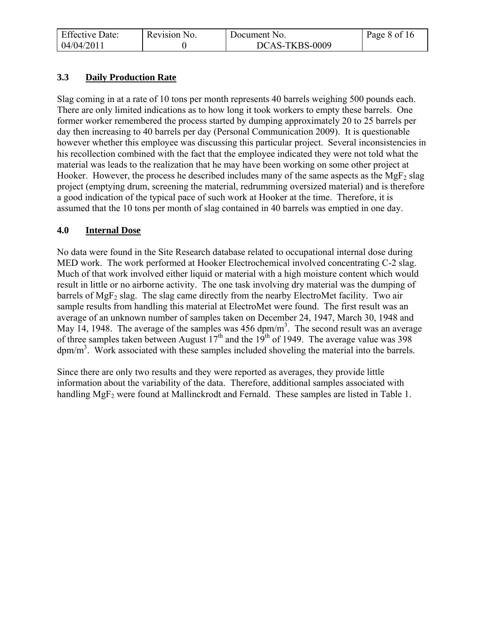| <b>Effective Date:</b> | Revision No. | Document No.   | Page 8 of 16 |
|------------------------|--------------|----------------|--------------|
| 04/04/2011             |              | DCAS-TKBS-0009 |              |

# **3.3 Daily Production Rate**

Slag coming in at a rate of 10 tons per month represents 40 barrels weighing 500 pounds each. There are only limited indications as to how long it took workers to empty these barrels. One former worker remembered the process started by dumping approximately 20 to 25 barrels per day then increasing to 40 barrels per day (Personal Communication 2009). It is questionable however whether this employee was discussing this particular project. Several inconsistencies in his recollection combined with the fact that the employee indicated they were not told what the material was leads to the realization that he may have been working on some other project at Hooker. However, the process he described includes many of the same aspects as the MgF<sub>2</sub> slag project (emptying drum, screening the material, redrumming oversized material) and is therefore a good indication of the typical pace of such work at Hooker at the time. Therefore, it is assumed that the 10 tons per month of slag contained in 40 barrels was emptied in one day.

# **4.0 Internal Dose**

No data were found in the Site Research database related to occupational internal dose during MED work. The work performed at Hooker Electrochemical involved concentrating C-2 slag. Much of that work involved either liquid or material with a high moisture content which would result in little or no airborne activity. The one task involving dry material was the dumping of barrels of MgF<sub>2</sub> slag. The slag came directly from the nearby ElectroMet facility. Two air sample results from handling this material at ElectroMet were found. The first result was an average of an unknown number of samples taken on December 24, 1947, March 30, 1948 and May 14, 1948. The average of the samples was  $456 \text{ dpm/m}^3$ . The second result was an average of three samples taken between August  $17<sup>th</sup>$  and the 19<sup>th</sup> of 1949. The average value was 398  $dpm/m<sup>3</sup>$ . Work associated with these samples included shoveling the material into the barrels.

Since there are only two results and they were reported as averages, they provide little information about the variability of the data. Therefore, additional samples associated with handling MgF<sub>2</sub> were found at Mallinckrodt and Fernald. These samples are listed in Table 1.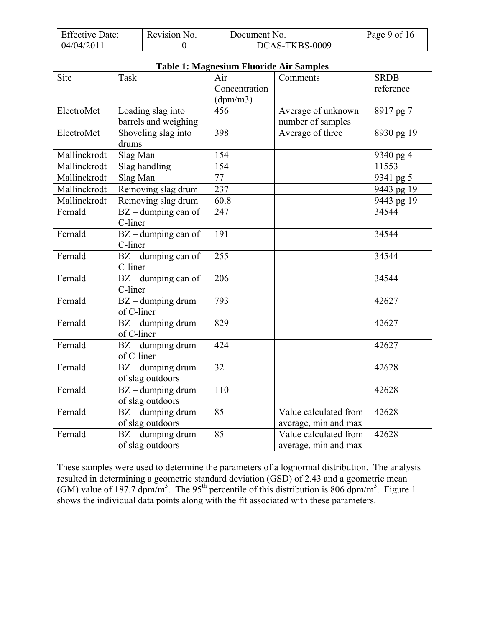| <b>Effective Date:</b> | Revision No. | Document No.   | Page 9 of 16 |
|------------------------|--------------|----------------|--------------|
| 04/04/2011             |              | DCAS-TKBS-0009 |              |

| <b>Table 1: Magnesium Fluoride Air Samples</b> |                                                    |                                  |                                               |                          |
|------------------------------------------------|----------------------------------------------------|----------------------------------|-----------------------------------------------|--------------------------|
| Site                                           | Task                                               | Air<br>Concentration<br>(dpm/m3) | Comments                                      | <b>SRDB</b><br>reference |
| ElectroMet                                     | Loading slag into<br>barrels and weighing          | 456                              | Average of unknown<br>number of samples       | 8917 pg 7                |
| ElectroMet                                     | Shoveling slag into<br>drums                       | 398                              | Average of three                              | 8930 pg 19               |
| Mallinckrodt                                   | Slag Man                                           | 154                              |                                               | 9340 pg 4                |
| Mallinckrodt                                   | Slag handling                                      | 154                              |                                               | 11553                    |
| Mallinckrodt                                   | Slag Man                                           | 77                               |                                               | 9341 pg 5                |
| Mallinckrodt                                   | Removing slag drum                                 | 237                              |                                               | 9443 pg 19               |
| Mallinckrodt                                   | Removing slag drum                                 | 60.8                             |                                               | 9443 pg 19               |
| Fernald                                        | $BZ$ – dumping can of<br>C-liner                   | 247                              |                                               | 34544                    |
| Fernald                                        | $BZ$ – dumping can of<br>C-liner                   | 191                              |                                               | 34544                    |
| Fernald                                        | $BZ$ – dumping can of<br>C-liner                   | 255                              |                                               | 34544                    |
| Fernald                                        | $BZ$ – dumping can of<br>C-liner                   | 206                              |                                               | 34544                    |
| Fernald                                        | $BZ -$ dumping drum<br>of C-liner                  | 793                              |                                               | 42627                    |
| Fernald                                        | $BZ -$ dumping drum<br>of C-liner                  | 829                              |                                               | 42627                    |
| Fernald                                        | $BZ -$ dumping drum<br>of C-liner                  | 424                              |                                               | 42627                    |
| Fernald                                        | $BZ -$ dumping drum<br>of slag outdoors            | 32                               |                                               | 42628                    |
| Fernald                                        | $BZ -$ dumping drum<br>of slag outdoors            | 110                              |                                               | 42628                    |
| Fernald                                        | $BZ$ – dumping drum<br>of slag outdoors            | 85                               | Value calculated from<br>average, min and max | 42628                    |
| Fernald                                        | $\overline{B}Z$ – dumping drum<br>of slag outdoors | 85                               | Value calculated from<br>average, min and max | 42628                    |

# These samples were used to determine the parameters of a lognormal distribution. The analysis resulted in determining a geometric standard deviation (GSD) of 2.43 and a geometric mean (GM) value of 187.7 dpm/m<sup>3</sup>. The 95<sup>th</sup> percentile of this distribution is 806 dpm/m<sup>3</sup>. Figure 1 shows the individual data points along with the fit associated with these parameters.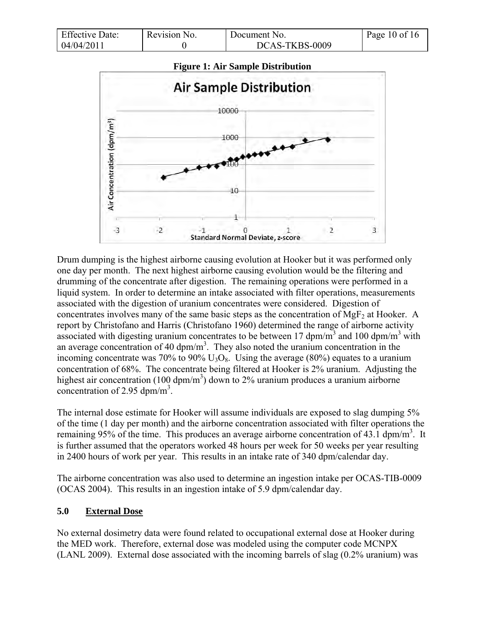| <b>Effective Date:</b> | Revision No. | Document No.   | Page 10 of 16 |
|------------------------|--------------|----------------|---------------|
| 04/04/2011             |              | DCAS-TKBS-0009 |               |



Drum dumping is the highest airborne causing evolution at Hooker but it was performed only one day per month. The next highest airborne causing evolution would be the filtering and drumming of the concentrate after digestion. The remaining operations were performed in a liquid system. In order to determine an intake associated with filter operations, measurements associated with the digestion of uranium concentrates were considered. Digestion of concentrates involves many of the same basic steps as the concentration of  $MgF_2$  at Hooker. A report by Christofano and Harris (Christofano 1960) determined the range of airborne activity associated with digesting uranium concentrates to be between 17 dpm/m<sup>3</sup> and 100 dpm/m<sup>3</sup> with an average concentration of 40  $\text{dpm/m}^3$ . They also noted the uranium concentration in the incoming concentrate was 70% to 90%  $U_3O_8$ . Using the average (80%) equates to a uranium concentration of 68%. The concentrate being filtered at Hooker is 2% uranium. Adjusting the highest air concentration (100 dpm/m<sup>3</sup>) down to 2% uranium produces a uranium airborne concentration of 2.95 dpm/m<sup>3</sup>.

The internal dose estimate for Hooker will assume individuals are exposed to slag dumping 5% of the time (1 day per month) and the airborne concentration associated with filter operations the remaining 95% of the time. This produces an average airborne concentration of 43.1 dpm/m<sup>3</sup>. It is further assumed that the operators worked 48 hours per week for 50 weeks per year resulting in 2400 hours of work per year. This results in an intake rate of 340 dpm/calendar day.

The airborne concentration was also used to determine an ingestion intake per OCAS-TIB-0009 (OCAS 2004). This results in an ingestion intake of 5.9 dpm/calendar day.

#### **5.0 External Dose**

No external dosimetry data were found related to occupational external dose at Hooker during the MED work. Therefore, external dose was modeled using the computer code MCNPX (LANL 2009). External dose associated with the incoming barrels of slag (0.2% uranium) was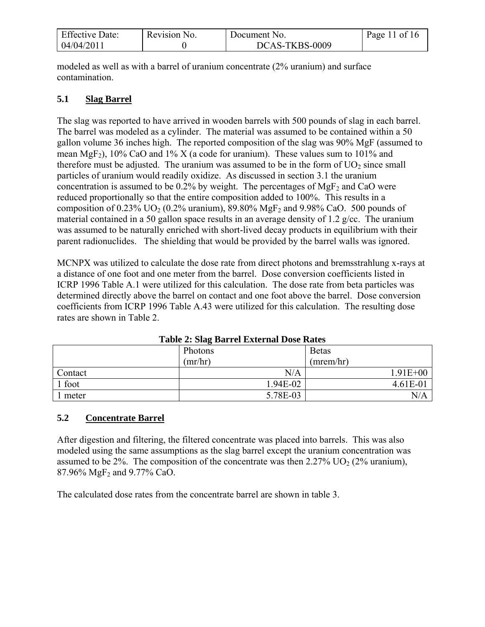| <b>Effective Date:</b> | Revision No. | Document No.   | Page 11 of 16 |
|------------------------|--------------|----------------|---------------|
| 04/04/2011             |              | DCAS-TKBS-0009 |               |

modeled as well as with a barrel of uranium concentrate (2% uranium) and surface contamination.

# **5.1 Slag Barrel**

The slag was reported to have arrived in wooden barrels with 500 pounds of slag in each barrel. The barrel was modeled as a cylinder. The material was assumed to be contained within a 50 gallon volume 36 inches high. The reported composition of the slag was 90% MgF (assumed to mean MgF<sub>2</sub>), 10% CaO and 1% X (a code for uranium). These values sum to 101% and therefore must be adjusted. The uranium was assumed to be in the form of  $UO<sub>2</sub>$  since small particles of uranium would readily oxidize. As discussed in section 3.1 the uranium concentration is assumed to be  $0.2\%$  by weight. The percentages of MgF<sub>2</sub> and CaO were reduced proportionally so that the entire composition added to 100%. This results in a composition of  $0.23\%$  UO<sub>2</sub> (0.2% uranium), 89.80% MgF<sub>2</sub> and 9.98% CaO. 500 pounds of material contained in a 50 gallon space results in an average density of 1.2 g/cc. The uranium was assumed to be naturally enriched with short-lived decay products in equilibrium with their parent radionuclides. The shielding that would be provided by the barrel walls was ignored.

MCNPX was utilized to calculate the dose rate from direct photons and bremsstrahlung x-rays at a distance of one foot and one meter from the barrel. Dose conversion coefficients listed in ICRP 1996 Table A.1 were utilized for this calculation. The dose rate from beta particles was determined directly above the barrel on contact and one foot above the barrel. Dose conversion coefficients from ICRP 1996 Table A.43 were utilized for this calculation. The resulting dose rates are shown in Table 2.

|         | Photons  | <b>Betas</b> |  |  |
|---------|----------|--------------|--|--|
|         | (mr/hr)  | (mrem/hr)    |  |  |
| Contact | N/A      | 1.91E+00     |  |  |
| 1 foot  | 1.94E-02 | $4.61E-01$   |  |  |
| meter   | 5.78E-03 | N/A          |  |  |

**Table 2: Slag Barrel External Dose Rates** 

# **5.2 Concentrate Barrel**

After digestion and filtering, the filtered concentrate was placed into barrels. This was also modeled using the same assumptions as the slag barrel except the uranium concentration was assumed to be 2%. The composition of the concentrate was then  $2.27\%$  UO<sub>2</sub> (2% uranium), 87.96% MgF<sub>2</sub> and 9.77% CaO.

The calculated dose rates from the concentrate barrel are shown in table 3.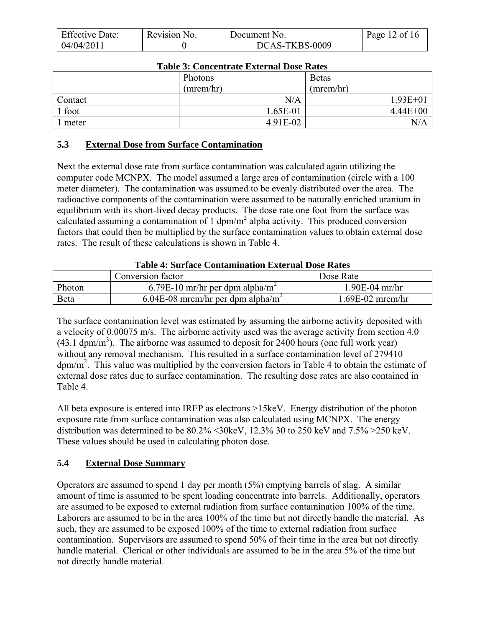| <b>Effective Date:</b> | Revision No. | Document No.   | Page 12 of 16 |
|------------------------|--------------|----------------|---------------|
| 04/04/2011             |              | DCAS-TKBS-0009 |               |

| Table 9. Concentrate External Dose Rates |           |              |  |
|------------------------------------------|-----------|--------------|--|
|                                          | Photons   | <b>Betas</b> |  |
|                                          | (mrem/hr) | (mrem/hr)    |  |
| Contact                                  | N/A       | $1.93E + 01$ |  |
| 1 foot                                   | 1.65E-01  | $4.44E + 00$ |  |
| meter                                    | 4.91E-02  | N/A          |  |

# **Table 3: Concentrate External Dose Rates**

### **5.3 External Dose from Surface Contamination**

Next the external dose rate from surface contamination was calculated again utilizing the computer code MCNPX. The model assumed a large area of contamination (circle with a 100 meter diameter). The contamination was assumed to be evenly distributed over the area. The radioactive components of the contamination were assumed to be naturally enriched uranium in equilibrium with its short-lived decay products. The dose rate one foot from the surface was calculated assuming a contamination of 1  $dpm/m^2$  alpha activity. This produced conversion factors that could then be multiplied by the surface contamination values to obtain external dose rates. The result of these calculations is shown in Table 4.

#### **Table 4: Surface Contamination External Dose Rates**

|        | Conversion factor                             | Dose Rate        |
|--------|-----------------------------------------------|------------------|
| Photon | 6.79E-10 mr/hr per dpm alpha/m <sup>2</sup>   | $1.90E-04$ mr/hr |
| Beta   | 6.04E-08 mrem/hr per dpm alpha/m <sup>2</sup> | 1.69E-02 mrem/hr |

The surface contamination level was estimated by assuming the airborne activity deposited with a velocity of 0.00075 m/s. The airborne activity used was the average activity from section 4.0  $(43.1 \text{ dpm/m}^3)$ . The airborne was assumed to deposit for 2400 hours (one full work year) without any removal mechanism. This resulted in a surface contamination level of 279410  $dpm/m<sup>2</sup>$ . This value was multiplied by the conversion factors in Table 4 to obtain the estimate of external dose rates due to surface contamination. The resulting dose rates are also contained in Table 4.

All beta exposure is entered into IREP as electrons >15keV. Energy distribution of the photon exposure rate from surface contamination was also calculated using MCNPX. The energy distribution was determined to be 80.2% <30keV, 12.3% 30 to 250 keV and 7.5% >250 keV. These values should be used in calculating photon dose.

# **5.4 External Dose Summary**

Operators are assumed to spend 1 day per month (5%) emptying barrels of slag. A similar amount of time is assumed to be spent loading concentrate into barrels. Additionally, operators are assumed to be exposed to external radiation from surface contamination 100% of the time. Laborers are assumed to be in the area 100% of the time but not directly handle the material. As such, they are assumed to be exposed 100% of the time to external radiation from surface contamination. Supervisors are assumed to spend 50% of their time in the area but not directly handle material. Clerical or other individuals are assumed to be in the area 5% of the time but not directly handle material.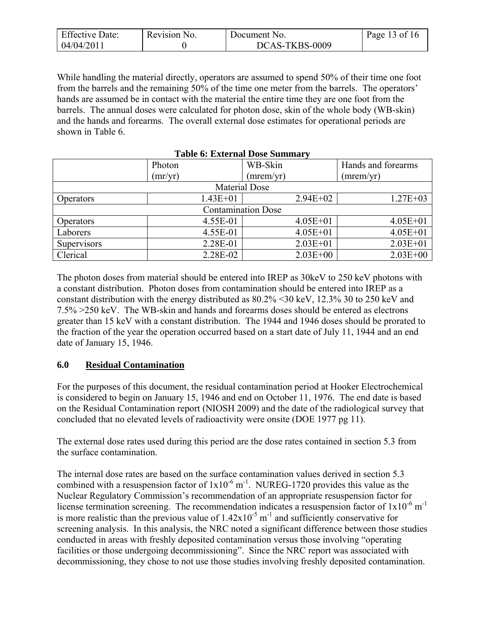| <b>Effective Date:</b> | Revision No. | Document No.   | Page 13 of 16 |
|------------------------|--------------|----------------|---------------|
| 04/04/2011             |              | DCAS-TKBS-0009 |               |

While handling the material directly, operators are assumed to spend 50% of their time one foot from the barrels and the remaining 50% of the time one meter from the barrels. The operators' hands are assumed be in contact with the material the entire time they are one foot from the barrels. The annual doses were calculated for photon dose, skin of the whole body (WB-skin) and the hands and forearms. The overall external dose estimates for operational periods are shown in Table 6.

| 1 WALL OF EMPLEMENT & ODE D'UMMINISTER |                      |              |                    |  |  |
|----------------------------------------|----------------------|--------------|--------------------|--|--|
|                                        | Photon               | WB-Skin      | Hands and forearms |  |  |
|                                        | (mr/yr)              | (mrem/yr)    | (mrem/yr)          |  |  |
|                                        | <b>Material Dose</b> |              |                    |  |  |
| Operators                              | $1.43E + 01$         | $2.94E + 02$ | $1.27E + 03$       |  |  |
| <b>Contamination Dose</b>              |                      |              |                    |  |  |
| <b>Operators</b>                       | 4.55E-01             | $4.05E + 01$ | $4.05E + 01$       |  |  |
| Laborers                               | 4.55E-01             | $4.05E + 01$ | $4.05E + 01$       |  |  |
| Supervisors                            | 2.28E-01             | $2.03E + 01$ | $2.03E + 01$       |  |  |
| Clerical                               | 2.28E-02             | $2.03E + 00$ | $2.03E + 00$       |  |  |

**Table 6: External Dose Summary** 

The photon doses from material should be entered into IREP as 30keV to 250 keV photons with a constant distribution. Photon doses from contamination should be entered into IREP as a constant distribution with the energy distributed as 80.2% <30 keV, 12.3% 30 to 250 keV and 7.5% >250 keV. The WB-skin and hands and forearms doses should be entered as electrons greater than 15 keV with a constant distribution. The 1944 and 1946 doses should be prorated to the fraction of the year the operation occurred based on a start date of July 11, 1944 and an end date of January 15, 1946.

# **6.0 Residual Contamination**

For the purposes of this document, the residual contamination period at Hooker Electrochemical is considered to begin on January 15, 1946 and end on October 11, 1976. The end date is based on the Residual Contamination report (NIOSH 2009) and the date of the radiological survey that concluded that no elevated levels of radioactivity were onsite (DOE 1977 pg 11).

The external dose rates used during this period are the dose rates contained in section 5.3 from the surface contamination.

The internal dose rates are based on the surface contamination values derived in section 5.3 combined with a resuspension factor of  $1x10^{-6}$  m<sup>-1</sup>. NUREG-1720 provides this value as the Nuclear Regulatory Commission's recommendation of an appropriate resuspension factor for license termination screening. The recommendation indicates a resuspension factor of  $1x10^{-6}$  m<sup>-1</sup> is more realistic than the previous value of  $1.42 \times 10^{-5}$  m<sup>-1</sup> and sufficiently conservative for screening analysis. In this analysis, the NRC noted a significant difference between those studies conducted in areas with freshly deposited contamination versus those involving "operating facilities or those undergoing decommissioning". Since the NRC report was associated with decommissioning, they chose to not use those studies involving freshly deposited contamination.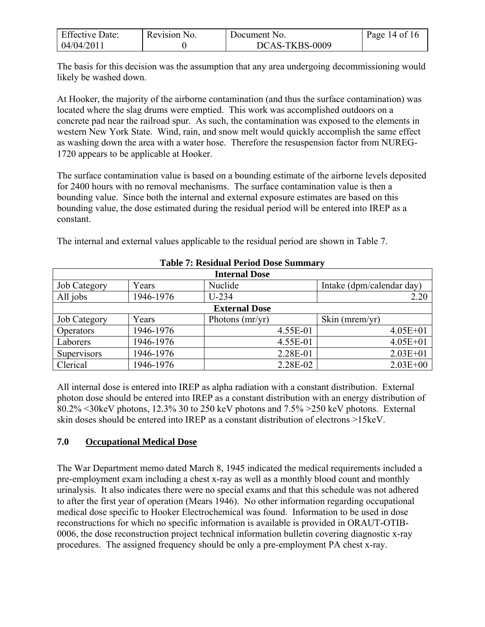| <b>Effective Date:</b> | Revision No. | Document No.   | Page 14 of 16 |
|------------------------|--------------|----------------|---------------|
| 04/04/2011             |              | DCAS-TKBS-0009 |               |

The basis for this decision was the assumption that any area undergoing decommissioning would likely be washed down.

At Hooker, the majority of the airborne contamination (and thus the surface contamination) was located where the slag drums were emptied. This work was accomplished outdoors on a concrete pad near the railroad spur. As such, the contamination was exposed to the elements in western New York State. Wind, rain, and snow melt would quickly accomplish the same effect as washing down the area with a water hose. Therefore the resuspension factor from NUREG-1720 appears to be applicable at Hooker.

The surface contamination value is based on a bounding estimate of the airborne levels deposited for 2400 hours with no removal mechanisms. The surface contamination value is then a bounding value. Since both the internal and external exposure estimates are based on this bounding value, the dose estimated during the residual period will be entered into IREP as a constant.

| <b>Internal Dose</b> |           |                   |          |                           |              |  |  |
|----------------------|-----------|-------------------|----------|---------------------------|--------------|--|--|
| Job Category         | Years     | Nuclide           |          | Intake (dpm/calendar day) |              |  |  |
| All jobs             | 1946-1976 | $U-234$           |          |                           | 2.20         |  |  |
| <b>External Dose</b> |           |                   |          |                           |              |  |  |
| Job Category         | Years     | Photons $(mr/yr)$ |          | Skin ( $merm/yr$ )        |              |  |  |
| Operators            | 1946-1976 |                   | 4.55E-01 |                           | $4.05E + 01$ |  |  |
| Laborers             | 1946-1976 |                   | 4.55E-01 |                           | $4.05E + 01$ |  |  |
| Supervisors          | 1946-1976 |                   | 2.28E-01 |                           | $2.03E + 01$ |  |  |
| Clerical             | 1946-1976 |                   | 2.28E-02 |                           | $2.03E + 00$ |  |  |

**Table 7: Residual Period Dose Summary** 

The internal and external values applicable to the residual period are shown in Table 7.

All internal dose is entered into IREP as alpha radiation with a constant distribution. External photon dose should be entered into IREP as a constant distribution with an energy distribution of 80.2% <30keV photons, 12.3% 30 to 250 keV photons and 7.5% >250 keV photons. External skin doses should be entered into IREP as a constant distribution of electrons >15keV.

# **7.0 Occupational Medical Dose**

The War Department memo dated March 8, 1945 indicated the medical requirements included a pre-employment exam including a chest x-ray as well as a monthly blood count and monthly urinalysis. It also indicates there were no special exams and that this schedule was not adhered to after the first year of operation (Mears 1946). No other information regarding occupational medical dose specific to Hooker Electrochemical was found. Information to be used in dose reconstructions for which no specific information is available is provided in ORAUT-OTIB-0006, the dose reconstruction project technical information bulletin covering diagnostic x-ray procedures. The assigned frequency should be only a pre-employment PA chest x-ray.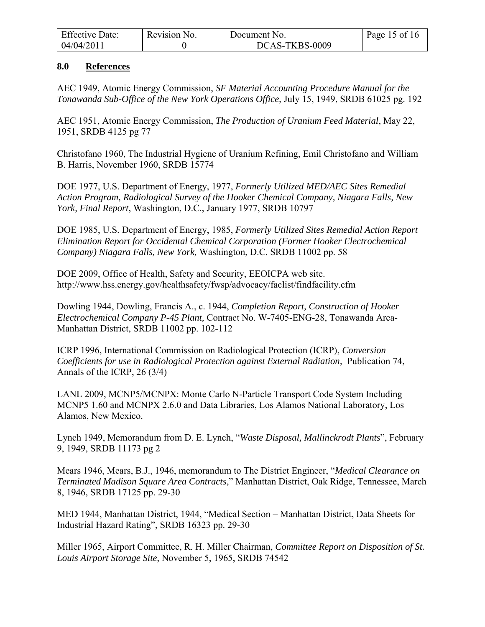| <b>Effective Date:</b> | Revision No. | Document No.   | Page 15 of 16 |
|------------------------|--------------|----------------|---------------|
| 04/04/2011             |              | DCAS-TKBS-0009 |               |

#### **8.0 References**

AEC 1949, Atomic Energy Commission, *SF Material Accounting Procedure Manual for the Tonawanda Sub-Office of the New York Operations Office*, July 15, 1949, SRDB 61025 pg. 192

AEC 1951, Atomic Energy Commission, *The Production of Uranium Feed Material*, May 22, 1951, SRDB 4125 pg 77

Christofano 1960, The Industrial Hygiene of Uranium Refining, Emil Christofano and William B. Harris, November 1960, SRDB 15774

DOE 1977, U.S. Department of Energy, 1977, *Formerly Utilized MED/AEC Sites Remedial Action Program, Radiological Survey of the Hooker Chemical Company, Niagara Falls, New York, Final Report*, Washington, D.C., January 1977, SRDB 10797

DOE 1985, U.S. Department of Energy, 1985, *Formerly Utilized Sites Remedial Action Report Elimination Report for Occidental Chemical Corporation (Former Hooker Electrochemical Company) Niagara Falls, New York,* Washington, D.C. SRDB 11002 pp. 58

DOE 2009, Office of Health, Safety and Security, EEOICPA web site. http://www.hss.energy.gov/healthsafety/fwsp/advocacy/faclist/findfacility.cfm

Dowling 1944, Dowling, Francis A., c. 1944, *Completion Report, Construction of Hooker Electrochemical Company P-45 Plant,* Contract No. W-7405-ENG-28, Tonawanda Area-Manhattan District, SRDB 11002 pp. 102-112

ICRP 1996, International Commission on Radiological Protection (ICRP), *Conversion Coefficients for use in Radiological Protection against External Radiation*, Publication 74, Annals of the ICRP, 26 (3/4)

LANL 2009, MCNP5/MCNPX: Monte Carlo N-Particle Transport Code System Including MCNP5 1.60 and MCNPX 2.6.0 and Data Libraries, Los Alamos National Laboratory, Los Alamos, New Mexico.

Lynch 1949, Memorandum from D. E. Lynch, "*Waste Disposal, Mallinckrodt Plants*", February 9, 1949, SRDB 11173 pg 2

Mears 1946, Mears, B.J., 1946, memorandum to The District Engineer, "*Medical Clearance on Terminated Madison Square Area Contracts*," Manhattan District, Oak Ridge, Tennessee, March 8, 1946, SRDB 17125 pp. 29-30

MED 1944, Manhattan District, 1944, "Medical Section – Manhattan District, Data Sheets for Industrial Hazard Rating", SRDB 16323 pp. 29-30

Miller 1965, Airport Committee, R. H. Miller Chairman, *Committee Report on Disposition of St. Louis Airport Storage Site*, November 5, 1965, SRDB 74542